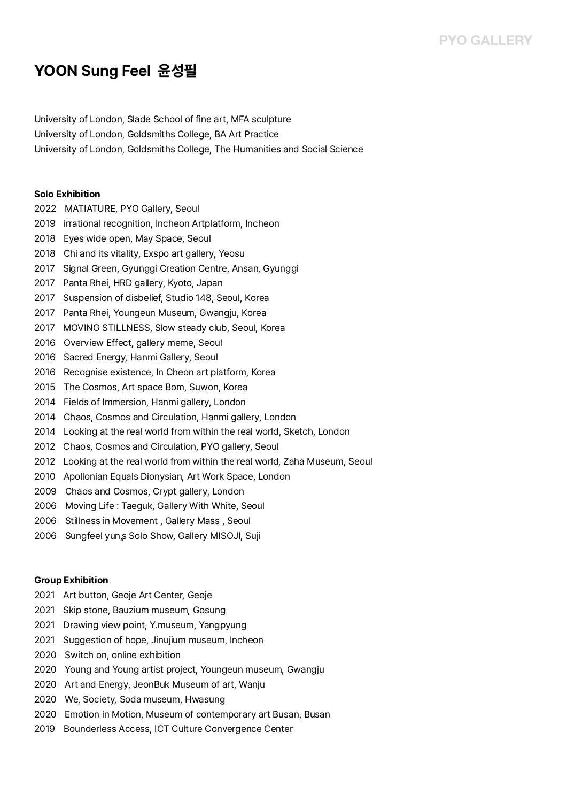# **YOON Sung Feel 윤성필**

University of London, Slade School of fine art, MFA sculpture University of London, Goldsmiths College, BA Art Practice University of London, Goldsmiths College, The Humanities and Social Science

### **Solo Exhibition**

- 2022 MATIATURE, PYO Gallery, Seoul
- 2019 irrational recognition, Incheon Artplatform, Incheon
- 2018 Eyes wide open, May Space, Seoul
- 2018 Chi and its vitality, Exspo art gallery, Yeosu
- 2017 Signal Green, Gyunggi Creation Centre, Ansan, Gyunggi
- 2017 Panta Rhei, HRD gallery, Kyoto, Japan
- 2017 Suspension of disbelief, Studio 148, Seoul, Korea
- 2017 Panta Rhei, Youngeun Museum, Gwangju, Korea
- 2017 MOVING STILLNESS, Slow steady club, Seoul, Korea
- 2016 Overview Effect, gallery meme, Seoul
- 2016 Sacred Energy, Hanmi Gallery, Seoul
- 2016 Recognise existence, In Cheon art platform, Korea
- 2015 The Cosmos, Art space Bom, Suwon, Korea
- 2014 Fields of Immersion, Hanmi gallery, London
- 2014 Chaos, Cosmos and Circulation, Hanmi gallery, London
- 2014 Looking at the real world from within the real world, Sketch, London
- 2012 Chaos, Cosmos and Circulation, PYO gallery, Seoul
- 2012 Looking at the real world from within the real world, Zaha Museum, Seoul
- 2010 Apollonian Equals Dionysian, Art Work Space, London
- 2009 Chaos and Cosmos, Crypt gallery, London
- 2006 Moving Life : Taeguk, Gallery With White, Seoul
- 2006 Stillness in Movement , Gallery Mass , Seoul
- 2006 Sungfeel yun,s Solo Show, Gallery MISOJI, Suji

#### **Group Exhibition**

- 2021 Art button, Geoje Art Center, Geoje
- 2021 Skip stone, Bauzium museum, Gosung
- 2021 Drawing view point, Y.museum, Yangpyung
- 2021 Suggestion of hope, Jinujium museum, Incheon
- 2020 Switch on, online exhibition
- 2020 Young and Young artist project, Youngeun museum, Gwangju
- 2020 Art and Energy, JeonBuk Museum of art, Wanju
- 2020 We, Society, Soda museum, Hwasung
- 2020 Emotion in Motion, Museum of contemporary art Busan, Busan
- 2019 Bounderless Access, ICT Culture Convergence Center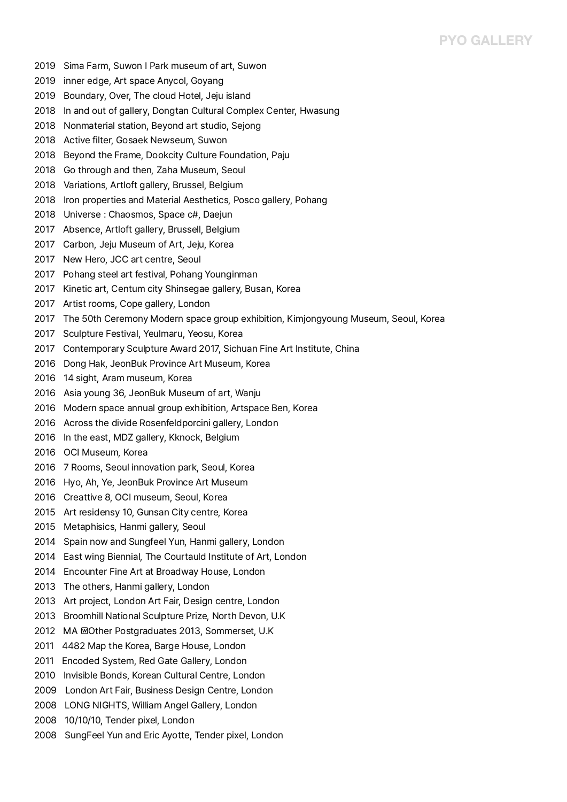### **PYO GALLERY**

- 2019 Sima Farm, Suwon I Park museum of art, Suwon
- 2019 inner edge, Art space Anycol, Goyang
- 2019 Boundary, Over, The cloud Hotel, Jeju island
- 2018 In and out of gallery, Dongtan Cultural Complex Center, Hwasung
- 2018 Nonmaterial station, Beyond art studio, Sejong
- 2018 Active filter, Gosaek Newseum, Suwon
- 2018 Beyond the Frame, Dookcity Culture Foundation, Paju
- 2018 Go through and then, Zaha Museum, Seoul
- 2018 Variations, Artloft gallery, Brussel, Belgium
- 2018 Iron properties and Material Aesthetics, Posco gallery, Pohang
- 2018 Universe : Chaosmos, Space c#, Daejun
- 2017 Absence, Artloft gallery, Brussell, Belgium
- 2017 Carbon, Jeju Museum of Art, Jeju, Korea
- 2017 New Hero, JCC art centre, Seoul
- 2017 Pohang steel art festival, Pohang Younginman
- 2017 Kinetic art, Centum city Shinsegae gallery, Busan, Korea
- 2017 Artist rooms, Cope gallery, London
- 2017 The 50th Ceremony Modern space group exhibition, Kimjongyoung Museum, Seoul, Korea
- 2017 Sculpture Festival, Yeulmaru, Yeosu, Korea
- 2017 Contemporary Sculpture Award 2017, Sichuan Fine Art Institute, China
- 2016 Dong Hak, JeonBuk Province Art Museum, Korea
- 2016 14 sight, Aram museum, Korea
- 2016 Asia young 36, JeonBuk Museum of art, Wanju
- 2016 Modern space annual group exhibition, Artspace Ben, Korea
- 2016 Across the divide Rosenfeldporcini gallery, London
- 2016 In the east, MDZ gallery, Kknock, Belgium
- 2016 OCI Museum, Korea
- 2016 7 Rooms, Seoul innovation park, Seoul, Korea
- 2016 Hyo, Ah, Ye, JeonBuk Province Art Museum
- 2016 Creattive 8, OCI museum, Seoul, Korea
- 2015 Art residensy 10, Gunsan City centre, Korea
- 2015 Metaphisics, Hanmi gallery, Seoul
- 2014 Spain now and Sungfeel Yun, Hanmi gallery, London
- 2014 East wing Biennial, The Courtauld Institute of Art, London
- 2014 Encounter Fine Art at Broadway House, London
- 2013 The others, Hanmi gallery, London
- 2013 Art project, London Art Fair, Design centre, London
- 2013 Broomhill National Sculpture Prize, North Devon, U.K
- 2012 MA MOther Postgraduates 2013, Sommerset, U.K
- 2011 4482 Map the Korea, Barge House, London
- 2011 Encoded System, Red Gate Gallery, London
- 2010 Invisible Bonds, Korean Cultural Centre, London
- 2009 London Art Fair, Business Design Centre, London
- 2008 LONG NIGHTS, William Angel Gallery, London
- 2008 10/10/10, Tender pixel, London
- 2008 SungFeel Yun and Eric Ayotte, Tender pixel, London